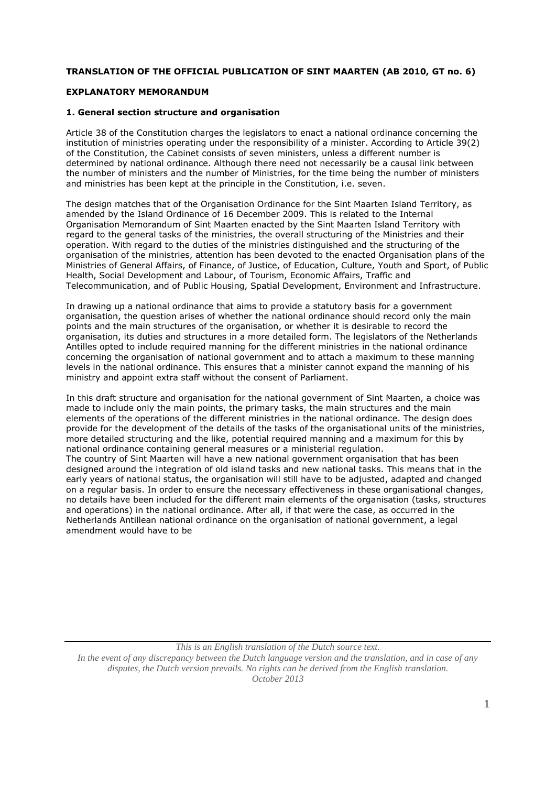## **TRANSLATION OF THE OFFICIAL PUBLICATION OF SINT MAARTEN (AB 2010, GT no. 6)**

## **EXPLANATORY MEMORANDUM**

## **1. General section structure and organisation**

Article 38 of the Constitution charges the legislators to enact a national ordinance concerning the institution of ministries operating under the responsibility of a minister. According to Article 39(2) of the Constitution, the Cabinet consists of seven ministers, unless a different number is determined by national ordinance. Although there need not necessarily be a causal link between the number of ministers and the number of Ministries, for the time being the number of ministers and ministries has been kept at the principle in the Constitution, i.e. seven.

The design matches that of the Organisation Ordinance for the Sint Maarten Island Territory, as amended by the Island Ordinance of 16 December 2009. This is related to the Internal Organisation Memorandum of Sint Maarten enacted by the Sint Maarten Island Territory with regard to the general tasks of the ministries, the overall structuring of the Ministries and their operation. With regard to the duties of the ministries distinguished and the structuring of the organisation of the ministries, attention has been devoted to the enacted Organisation plans of the Ministries of General Affairs, of Finance, of Justice, of Education, Culture, Youth and Sport, of Public Health, Social Development and Labour, of Tourism, Economic Affairs, Traffic and Telecommunication, and of Public Housing, Spatial Development, Environment and Infrastructure.

In drawing up a national ordinance that aims to provide a statutory basis for a government organisation, the question arises of whether the national ordinance should record only the main points and the main structures of the organisation, or whether it is desirable to record the organisation, its duties and structures in a more detailed form. The legislators of the Netherlands Antilles opted to include required manning for the different ministries in the national ordinance concerning the organisation of national government and to attach a maximum to these manning levels in the national ordinance. This ensures that a minister cannot expand the manning of his ministry and appoint extra staff without the consent of Parliament.

In this draft structure and organisation for the national government of Sint Maarten, a choice was made to include only the main points, the primary tasks, the main structures and the main elements of the operations of the different ministries in the national ordinance. The design does provide for the development of the details of the tasks of the organisational units of the ministries, more detailed structuring and the like, potential required manning and a maximum for this by national ordinance containing general measures or a ministerial regulation. The country of Sint Maarten will have a new national government organisation that has been designed around the integration of old island tasks and new national tasks. This means that in the early years of national status, the organisation will still have to be adjusted, adapted and changed on a regular basis. In order to ensure the necessary effectiveness in these organisational changes, no details have been included for the different main elements of the organisation (tasks, structures and operations) in the national ordinance. After all, if that were the case, as occurred in the Netherlands Antillean national ordinance on the organisation of national government, a legal amendment would have to be

*This is an English translation of the Dutch source text. In the event of any discrepancy between the Dutch language version and the translation, and in case of any disputes, the Dutch version prevails. No rights can be derived from the English translation. October 2013*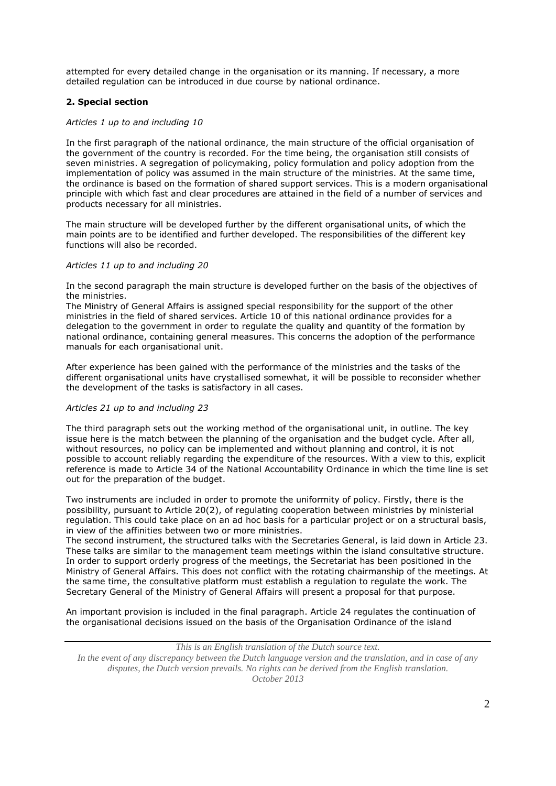attempted for every detailed change in the organisation or its manning. If necessary, a more detailed regulation can be introduced in due course by national ordinance.

# **2. Special section**

### *Articles 1 up to and including 10*

In the first paragraph of the national ordinance, the main structure of the official organisation of the government of the country is recorded. For the time being, the organisation still consists of seven ministries. A segregation of policymaking, policy formulation and policy adoption from the implementation of policy was assumed in the main structure of the ministries. At the same time, the ordinance is based on the formation of shared support services. This is a modern organisational principle with which fast and clear procedures are attained in the field of a number of services and products necessary for all ministries.

The main structure will be developed further by the different organisational units, of which the main points are to be identified and further developed. The responsibilities of the different key functions will also be recorded.

#### *Articles 11 up to and including 20*

In the second paragraph the main structure is developed further on the basis of the objectives of the ministries.

The Ministry of General Affairs is assigned special responsibility for the support of the other ministries in the field of shared services. Article 10 of this national ordinance provides for a delegation to the government in order to regulate the quality and quantity of the formation by national ordinance, containing general measures. This concerns the adoption of the performance manuals for each organisational unit.

After experience has been gained with the performance of the ministries and the tasks of the different organisational units have crystallised somewhat, it will be possible to reconsider whether the development of the tasks is satisfactory in all cases.

## *Articles 21 up to and including 23*

The third paragraph sets out the working method of the organisational unit, in outline. The key issue here is the match between the planning of the organisation and the budget cycle. After all, without resources, no policy can be implemented and without planning and control, it is not possible to account reliably regarding the expenditure of the resources. With a view to this, explicit reference is made to Article 34 of the National Accountability Ordinance in which the time line is set out for the preparation of the budget.

Two instruments are included in order to promote the uniformity of policy. Firstly, there is the possibility, pursuant to Article 20(2), of regulating cooperation between ministries by ministerial regulation. This could take place on an ad hoc basis for a particular project or on a structural basis, in view of the affinities between two or more ministries.

The second instrument, the structured talks with the Secretaries General, is laid down in Article 23. These talks are similar to the management team meetings within the island consultative structure. In order to support orderly progress of the meetings, the Secretariat has been positioned in the Ministry of General Affairs. This does not conflict with the rotating chairmanship of the meetings. At the same time, the consultative platform must establish a regulation to regulate the work. The Secretary General of the Ministry of General Affairs will present a proposal for that purpose.

An important provision is included in the final paragraph. Article 24 regulates the continuation of the organisational decisions issued on the basis of the Organisation Ordinance of the island

*In the event of any discrepancy between the Dutch language version and the translation, and in case of any disputes, the Dutch version prevails. No rights can be derived from the English translation. October 2013*

*This is an English translation of the Dutch source text.*